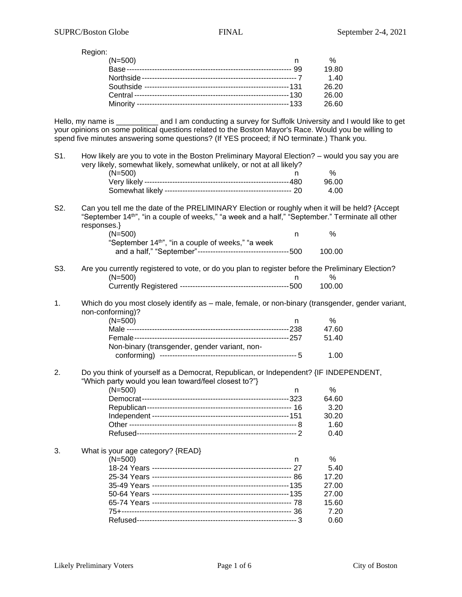Region:

| $(N=500)$ |     | %     |
|-----------|-----|-------|
|           | -99 | 19.80 |
|           |     | 1.40  |
|           |     | 26.20 |
|           |     | 26.00 |
|           |     | 26.60 |

Hello, my name is \_\_\_\_\_\_\_\_\_\_ and I am conducting a survey for Suffolk University and I would like to get your opinions on some political questions related to the Boston Mayor's Race. Would you be willing to spend five minutes answering some questions? (If YES proceed; if NO terminate.) Thank you.

| S1. | How likely are you to vote in the Boston Preliminary Mayoral Election? - would you say you are                                                                                                                               |        |
|-----|------------------------------------------------------------------------------------------------------------------------------------------------------------------------------------------------------------------------------|--------|
|     | very likely, somewhat likely, somewhat unlikely, or not at all likely?                                                                                                                                                       | %      |
|     | $(N=500)$<br>n                                                                                                                                                                                                               | 96.00  |
|     |                                                                                                                                                                                                                              |        |
|     |                                                                                                                                                                                                                              | 4.00   |
| S2. | Can you tell me the date of the PRELIMINARY Election or roughly when it will be held? {Accept<br>"September 14 <sup>th"</sup> , "in a couple of weeks," "a week and a half," "September." Terminate all other<br>responses.} |        |
|     | $(N=500)$<br>n                                                                                                                                                                                                               | %      |
|     | "September 14 <sup>th"</sup> , "in a couple of weeks," "a week                                                                                                                                                               |        |
|     |                                                                                                                                                                                                                              | 100.00 |
|     |                                                                                                                                                                                                                              |        |
| S3. | Are you currently registered to vote, or do you plan to register before the Preliminary Election?<br>$(N=500)$<br>n                                                                                                          | %      |
|     |                                                                                                                                                                                                                              | 100.00 |
|     |                                                                                                                                                                                                                              |        |
| 1.  | Which do you most closely identify as - male, female, or non-binary (transgender, gender variant,                                                                                                                            |        |
|     | non-conforming)?<br>$(N=500)$                                                                                                                                                                                                | %      |
|     | n.                                                                                                                                                                                                                           | 47.60  |
|     |                                                                                                                                                                                                                              |        |
|     |                                                                                                                                                                                                                              | 51.40  |
|     | Non-binary (transgender, gender variant, non-                                                                                                                                                                                | 1.00   |
|     |                                                                                                                                                                                                                              |        |
| 2.  | Do you think of yourself as a Democrat, Republican, or Independent? {IF INDEPENDENT,                                                                                                                                         |        |
|     | "Which party would you lean toward/feel closest to?"}                                                                                                                                                                        |        |
|     | $(N=500)$<br>n                                                                                                                                                                                                               | %      |
|     |                                                                                                                                                                                                                              | 64.60  |
|     |                                                                                                                                                                                                                              | 3.20   |
|     |                                                                                                                                                                                                                              | 30.20  |
|     |                                                                                                                                                                                                                              | 1.60   |
|     |                                                                                                                                                                                                                              | 0.40   |
| 3.  | What is your age category? {READ}                                                                                                                                                                                            |        |
|     | $(N=500)$<br>n                                                                                                                                                                                                               | %      |
|     |                                                                                                                                                                                                                              | 5.40   |
|     |                                                                                                                                                                                                                              | 17.20  |
|     |                                                                                                                                                                                                                              | 27.00  |
|     |                                                                                                                                                                                                                              | 27.00  |
|     |                                                                                                                                                                                                                              | 15.60  |
|     |                                                                                                                                                                                                                              | 7.20   |
|     |                                                                                                                                                                                                                              | 0.60   |
|     |                                                                                                                                                                                                                              |        |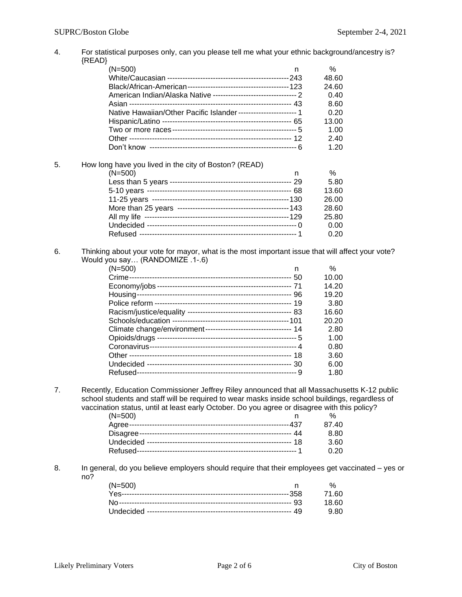| 4. | For statistical purposes only, can you please tell me what your ethnic background/ancestry is?<br>${READ}$                                                                                     |       |
|----|------------------------------------------------------------------------------------------------------------------------------------------------------------------------------------------------|-------|
|    | $(N=500)$<br>n                                                                                                                                                                                 | %     |
|    |                                                                                                                                                                                                | 48.60 |
|    |                                                                                                                                                                                                |       |
|    |                                                                                                                                                                                                | 24.60 |
|    | American Indian/Alaska Native ----------------------------------- 2                                                                                                                            | 0.40  |
|    |                                                                                                                                                                                                | 8.60  |
|    | Native Hawaiian/Other Pacific Islander----------------------- 1                                                                                                                                | 0.20  |
|    |                                                                                                                                                                                                | 13.00 |
|    |                                                                                                                                                                                                | 1.00  |
|    |                                                                                                                                                                                                | 2.40  |
|    |                                                                                                                                                                                                | 1.20  |
| 5. | How long have you lived in the city of Boston? (READ)                                                                                                                                          |       |
|    | $(N=500)$<br>n.                                                                                                                                                                                | %     |
|    |                                                                                                                                                                                                | 5.80  |
|    |                                                                                                                                                                                                | 13.60 |
|    |                                                                                                                                                                                                | 26.00 |
|    |                                                                                                                                                                                                | 28.60 |
|    |                                                                                                                                                                                                | 25.80 |
|    |                                                                                                                                                                                                | 0.00  |
|    |                                                                                                                                                                                                | 0.20  |
| 6. | Thinking about your vote for mayor, what is the most important issue that will affect your vote?<br>Would you say (RANDOMIZE .1-.6)                                                            |       |
|    | $(N=500)$<br>n                                                                                                                                                                                 | $\%$  |
|    |                                                                                                                                                                                                | 10.00 |
|    |                                                                                                                                                                                                | 14.20 |
|    |                                                                                                                                                                                                | 19.20 |
|    |                                                                                                                                                                                                | 3.80  |
|    |                                                                                                                                                                                                | 16.60 |
|    |                                                                                                                                                                                                | 20.20 |
|    | Climate change/environment---------------------------------- 14                                                                                                                                | 2.80  |
|    |                                                                                                                                                                                                | 1.00  |
|    |                                                                                                                                                                                                | 0.80  |
|    |                                                                                                                                                                                                | 3.60  |
|    |                                                                                                                                                                                                | 6.00  |
|    |                                                                                                                                                                                                | 1.80  |
| 7. | Recently, Education Commissioner Jeffrey Riley announced that all Massachusetts K-12 public<br>school students and staff will be required to wear masks inside school buildings, regardless of |       |
|    | vaccination status, until at least early October. Do you agree or disagree with this policy?                                                                                                   |       |
|    | $(N=500)$<br>n                                                                                                                                                                                 | ℅     |
|    |                                                                                                                                                                                                | 87.40 |
|    |                                                                                                                                                                                                | 8.80  |
|    |                                                                                                                                                                                                | 3.60  |
|    |                                                                                                                                                                                                | 0.20  |
| 8. | In general, do you believe employers should require that their employees get vaccinated - yes or<br>no?                                                                                        |       |
|    | $(N=500)$<br>n                                                                                                                                                                                 | %     |
|    |                                                                                                                                                                                                | 71.60 |
|    |                                                                                                                                                                                                | 18.60 |
|    |                                                                                                                                                                                                | 9.80  |
|    |                                                                                                                                                                                                |       |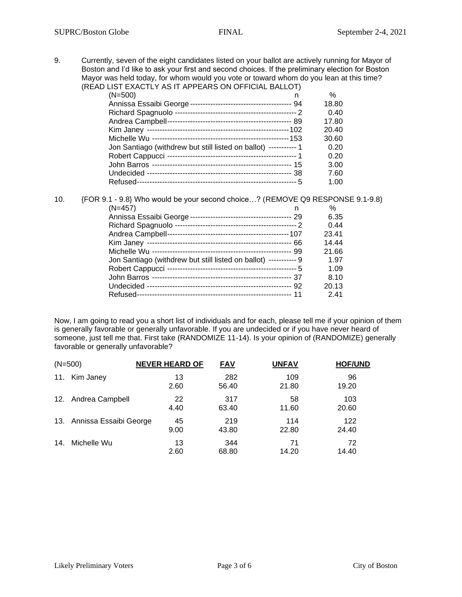9. Currently, seven of the eight candidates listed on your ballot are actively running for Mayor of Boston and I'd like to ask your first and second choices. If the preliminary election for Boston Mayor was held today, for whom would you vote or toward whom do you lean at this time? (READ LIST EXACTLY AS IT APPEARS ON OFFICIAL BALLOT)

| ן וסהים השווייט טוויס טוויס וויסה ובחלות וטוב                    |       |
|------------------------------------------------------------------|-------|
| $(N=500)$<br>n                                                   | $\%$  |
|                                                                  | 18.80 |
|                                                                  | 0.40  |
|                                                                  | 17.80 |
|                                                                  | 20.40 |
|                                                                  | 30.60 |
| Jon Santiago (withdrew but still listed on ballot) ----------- 1 | 0.20  |
|                                                                  | 0.20  |
|                                                                  | 3.00  |
|                                                                  | 7.60  |
|                                                                  | 1.00  |

| 10. | {FOR 9.1 - 9.8} Who would be your second choice? (REMOVE Q9 RESPONSE 9.1-9.8) |       |
|-----|-------------------------------------------------------------------------------|-------|
|     | $(N=457)$<br>n                                                                | $\%$  |
|     |                                                                               | 6.35  |
|     |                                                                               | 0.44  |
|     |                                                                               | 23.41 |
|     |                                                                               | 14.44 |
|     |                                                                               | 21.66 |
|     | Jon Santiago (withdrew but still listed on ballot) ----------- 9              | 1.97  |
|     |                                                                               | 1.09  |
|     |                                                                               | 8.10  |
|     |                                                                               | 20.13 |
|     |                                                                               | 2.41  |

Now, I am going to read you a short list of individuals and for each, please tell me if your opinion of them is generally favorable or generally unfavorable. If you are undecided or if you have never heard of someone, just tell me that. First take (RANDOMIZE 11-14). Is your opinion of (RANDOMIZE) generally favorable or generally unfavorable?

| $(N=500)$ |                            | <b>NEVER HEARD OF</b> | <b>FAV</b>   | <b>UNFAV</b> | <b>HOF/UND</b> |
|-----------|----------------------------|-----------------------|--------------|--------------|----------------|
| 11.       | Kim Janey                  | 13<br>2.60            | 282<br>56.40 | 109<br>21.80 | 96<br>19.20    |
|           | 12. Andrea Campbell        | 22<br>4.40            | 317<br>63.40 | 58<br>11.60  | 103<br>20.60   |
|           | 13. Annissa Essaibi George | 45<br>9.00            | 219<br>43.80 | 114<br>22.80 | 122<br>24.40   |
| 14.       | Michelle Wu                | 13<br>2.60            | 344<br>68.80 | 71<br>14.20  | 72<br>14.40    |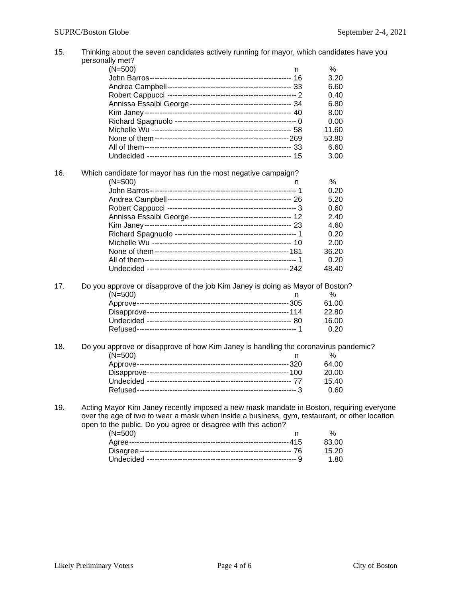| 15. | Thinking about the seven candidates actively running for mayor, which candidates have you                                                                                                 |       |  |  |  |
|-----|-------------------------------------------------------------------------------------------------------------------------------------------------------------------------------------------|-------|--|--|--|
|     | personally met?                                                                                                                                                                           |       |  |  |  |
|     | $(N=500)$<br>n.                                                                                                                                                                           | %     |  |  |  |
|     |                                                                                                                                                                                           | 3.20  |  |  |  |
|     |                                                                                                                                                                                           | 6.60  |  |  |  |
|     |                                                                                                                                                                                           | 0.40  |  |  |  |
|     |                                                                                                                                                                                           | 6.80  |  |  |  |
|     |                                                                                                                                                                                           | 8.00  |  |  |  |
|     |                                                                                                                                                                                           | 0.00  |  |  |  |
|     |                                                                                                                                                                                           | 11.60 |  |  |  |
|     |                                                                                                                                                                                           | 53.80 |  |  |  |
|     |                                                                                                                                                                                           | 6.60  |  |  |  |
|     |                                                                                                                                                                                           | 3.00  |  |  |  |
| 16. | Which candidate for mayor has run the most negative campaign?                                                                                                                             |       |  |  |  |
|     | $(N=500)$<br>n                                                                                                                                                                            | %     |  |  |  |
|     |                                                                                                                                                                                           | 0.20  |  |  |  |
|     |                                                                                                                                                                                           | 5.20  |  |  |  |
|     |                                                                                                                                                                                           | 0.60  |  |  |  |
|     |                                                                                                                                                                                           | 2.40  |  |  |  |
|     |                                                                                                                                                                                           | 4.60  |  |  |  |
|     |                                                                                                                                                                                           | 0.20  |  |  |  |
|     |                                                                                                                                                                                           | 2.00  |  |  |  |
|     |                                                                                                                                                                                           | 36.20 |  |  |  |
|     |                                                                                                                                                                                           | 0.20  |  |  |  |
|     |                                                                                                                                                                                           | 48.40 |  |  |  |
| 17. | Do you approve or disapprove of the job Kim Janey is doing as Mayor of Boston?                                                                                                            |       |  |  |  |
|     | $(N=500)$                                                                                                                                                                                 | $\%$  |  |  |  |
|     |                                                                                                                                                                                           | 61.00 |  |  |  |
|     |                                                                                                                                                                                           | 22.80 |  |  |  |
|     |                                                                                                                                                                                           | 16.00 |  |  |  |
|     |                                                                                                                                                                                           | 0.20  |  |  |  |
| 18. | Do you approve or disapprove of how Kim Janey is handling the coronavirus pandemic?                                                                                                       |       |  |  |  |
|     | $(N=500)$<br>n.                                                                                                                                                                           | %     |  |  |  |
|     |                                                                                                                                                                                           | 64.00 |  |  |  |
|     |                                                                                                                                                                                           | 20.00 |  |  |  |
|     |                                                                                                                                                                                           | 15.40 |  |  |  |
|     |                                                                                                                                                                                           | 0.60  |  |  |  |
|     |                                                                                                                                                                                           |       |  |  |  |
| 19. | Acting Mayor Kim Janey recently imposed a new mask mandate in Boston, requiring everyone<br>over the age of two to wear a mask when inside a business, gym, restaurant, or other location |       |  |  |  |
|     |                                                                                                                                                                                           |       |  |  |  |
|     | open to the public. Do you agree or disagree with this action?                                                                                                                            |       |  |  |  |
|     | $(N=500)$<br>n                                                                                                                                                                            | $\%$  |  |  |  |
|     |                                                                                                                                                                                           | 83.00 |  |  |  |
|     |                                                                                                                                                                                           | 15.20 |  |  |  |

Undecided ----------------------------------------------------------- 9 1.80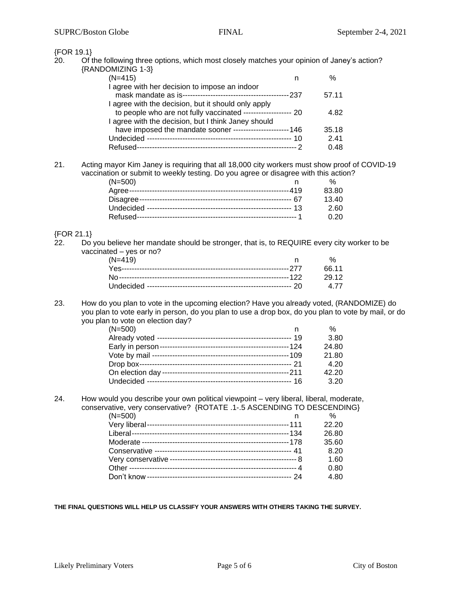| 20. | {FOR 19.1}<br>Of the following three options, which most closely matches your opinion of Janey's action?              |              |  |
|-----|-----------------------------------------------------------------------------------------------------------------------|--------------|--|
|     | {RANDOMIZING 1-3}                                                                                                     |              |  |
|     | $(N=415)$<br>n                                                                                                        | $\%$         |  |
|     | I agree with her decision to impose an indoor                                                                         |              |  |
|     |                                                                                                                       | 57.11        |  |
|     | I agree with the decision, but it should only apply                                                                   |              |  |
|     | to people who are not fully vaccinated ------------------ 20                                                          | 4.82         |  |
|     | I agree with the decision, but I think Janey should                                                                   |              |  |
|     | have imposed the mandate sooner ---------------------- 146                                                            | 35.18        |  |
|     |                                                                                                                       | 2.41         |  |
|     |                                                                                                                       | 0.48         |  |
| 21. | Acting mayor Kim Janey is requiring that all 18,000 city workers must show proof of COVID-19                          |              |  |
|     | vaccination or submit to weekly testing. Do you agree or disagree with this action?                                   |              |  |
|     | $(N=500)$<br>n                                                                                                        | %            |  |
|     |                                                                                                                       | 83.80        |  |
|     |                                                                                                                       | 13.40        |  |
|     |                                                                                                                       | 2.60         |  |
|     |                                                                                                                       | 0.20         |  |
|     | {FOR 21.1}                                                                                                            |              |  |
| 22. | Do you believe her mandate should be stronger, that is, to REQUIRE every city worker to be<br>vaccinated - yes or no? |              |  |
|     | $(N=419)$<br>n                                                                                                        | %            |  |
|     |                                                                                                                       | 66.11        |  |
|     |                                                                                                                       | 29.12        |  |
|     |                                                                                                                       | 4.77         |  |
| 23. | How do you plan to vote in the upcoming election? Have you already voted, (RANDOMIZE) do                              |              |  |
|     | you plan to vote early in person, do you plan to use a drop box, do you plan to vote by mail, or do                   |              |  |
|     | you plan to vote on election day?                                                                                     |              |  |
|     |                                                                                                                       |              |  |
|     | $(N=500)$<br>n.                                                                                                       | %            |  |
|     |                                                                                                                       | 3.80         |  |
|     |                                                                                                                       | 24.80        |  |
|     |                                                                                                                       | 21.80        |  |
|     |                                                                                                                       | 4.20         |  |
|     |                                                                                                                       | 42.20        |  |
|     | Undecided --                                                                                                          | 3.20         |  |
|     | How would you describe your own political viewpoint – very liberal, liberal, moderate,                                |              |  |
|     | conservative, very conservative? {ROTATE .1-.5 ASCENDING TO DESCENDING}                                               |              |  |
|     | $(N=500)$<br>n.                                                                                                       | %            |  |
|     |                                                                                                                       | 22.20        |  |
|     |                                                                                                                       | 26.80        |  |
|     |                                                                                                                       | 35.60        |  |
|     |                                                                                                                       | 8.20         |  |
|     |                                                                                                                       | 1.60         |  |
| 24. |                                                                                                                       | 0.80<br>4.80 |  |